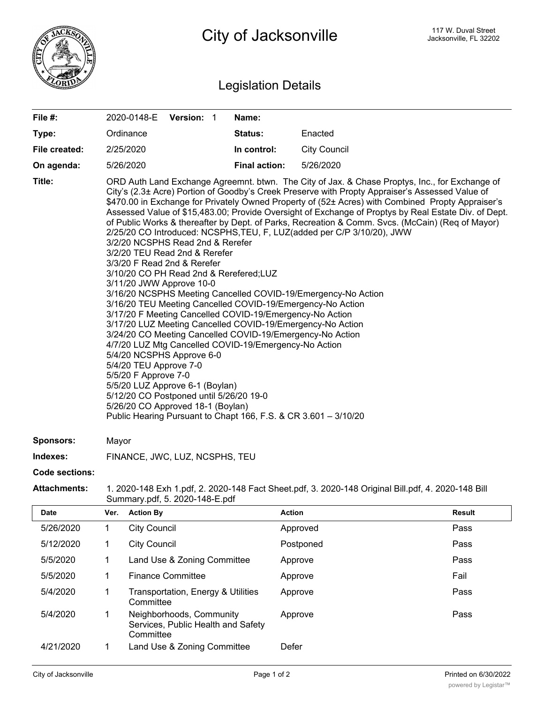

## Legislation Details

| File $#$ :    | 2020-0148-E Version: 1                                                                                                                                                                                                                                                                                                                                                                                                                                                                                                                                                                                                                                                                                                                                                                                                                                                                                |  |  | Name:                |                                                                                                                                                                                                                                                                                                                                                                                                                                                                                                                    |
|---------------|-------------------------------------------------------------------------------------------------------------------------------------------------------------------------------------------------------------------------------------------------------------------------------------------------------------------------------------------------------------------------------------------------------------------------------------------------------------------------------------------------------------------------------------------------------------------------------------------------------------------------------------------------------------------------------------------------------------------------------------------------------------------------------------------------------------------------------------------------------------------------------------------------------|--|--|----------------------|--------------------------------------------------------------------------------------------------------------------------------------------------------------------------------------------------------------------------------------------------------------------------------------------------------------------------------------------------------------------------------------------------------------------------------------------------------------------------------------------------------------------|
| Type:         | Ordinance                                                                                                                                                                                                                                                                                                                                                                                                                                                                                                                                                                                                                                                                                                                                                                                                                                                                                             |  |  | Status:              | Enacted                                                                                                                                                                                                                                                                                                                                                                                                                                                                                                            |
| File created: | 2/25/2020                                                                                                                                                                                                                                                                                                                                                                                                                                                                                                                                                                                                                                                                                                                                                                                                                                                                                             |  |  | In control:          | <b>City Council</b>                                                                                                                                                                                                                                                                                                                                                                                                                                                                                                |
| On agenda:    | 5/26/2020                                                                                                                                                                                                                                                                                                                                                                                                                                                                                                                                                                                                                                                                                                                                                                                                                                                                                             |  |  | <b>Final action:</b> | 5/26/2020                                                                                                                                                                                                                                                                                                                                                                                                                                                                                                          |
| Title:        | 2/25/20 CO Introduced: NCSPHS, TEU, F, LUZ (added per C/P 3/10/20), JWW<br>3/2/20 NCSPHS Read 2nd & Rerefer<br>3/2/20 TEU Read 2nd & Rerefer<br>3/3/20 F Read 2nd & Rerefer<br>3/10/20 CO PH Read 2nd & Rerefered;LUZ<br>3/11/20 JWW Approve 10-0<br>3/16/20 NCSPHS Meeting Cancelled COVID-19/Emergency-No Action<br>3/16/20 TEU Meeting Cancelled COVID-19/Emergency-No Action<br>3/17/20 F Meeting Cancelled COVID-19/Emergency-No Action<br>3/17/20 LUZ Meeting Cancelled COVID-19/Emergency-No Action<br>3/24/20 CO Meeting Cancelled COVID-19/Emergency-No Action<br>4/7/20 LUZ Mtg Cancelled COVID-19/Emergency-No Action<br>5/4/20 NCSPHS Approve 6-0<br>5/4/20 TEU Approve 7-0<br>5/5/20 F Approve 7-0<br>5/5/20 LUZ Approve 6-1 (Boylan)<br>5/12/20 CO Postponed until 5/26/20 19-0<br>5/26/20 CO Approved 18-1 (Boylan)<br>Public Hearing Pursuant to Chapt 166, F.S. & CR 3.601 - 3/10/20 |  |  |                      | ORD Auth Land Exchange Agreemnt. btwn. The City of Jax. & Chase Proptys, Inc., for Exchange of<br>City's (2.3± Acre) Portion of Goodby's Creek Preserve with Propty Appraiser's Assessed Value of<br>\$470.00 in Exchange for Privately Owned Property of (52± Acres) with Combined Propty Appraiser's<br>Assessed Value of \$15,483.00; Provide Oversight of Exchange of Proptys by Real Estate Div. of Dept.<br>of Public Works & thereafter by Dept. of Parks, Recreation & Comm. Svcs. (McCain) (Req of Mayor) |

**Sponsors:** Mayor

**Indexes:** FINANCE, JWC, LUZ, NCSPHS, TEU

## **Code sections:**

## **Attachments:** 1. 2020-148 Exh 1.pdf, 2. 2020-148 Fact Sheet.pdf, 3. 2020-148 Original Bill.pdf, 4. 2020-148 Bill Summary.pdf, 5. 2020-148-E.pdf

| <b>Date</b> | Ver. | <b>Action By</b>                                                            | <b>Action</b> | <b>Result</b> |
|-------------|------|-----------------------------------------------------------------------------|---------------|---------------|
| 5/26/2020   |      | <b>City Council</b>                                                         | Approved      | Pass          |
| 5/12/2020   |      | <b>City Council</b>                                                         | Postponed     | Pass          |
| 5/5/2020    |      | Land Use & Zoning Committee                                                 | Approve       | Pass          |
| 5/5/2020    |      | <b>Finance Committee</b>                                                    | Approve       | Fail          |
| 5/4/2020    |      | Transportation, Energy & Utilities<br>Committee                             | Approve       | Pass          |
| 5/4/2020    |      | Neighborhoods, Community<br>Services, Public Health and Safety<br>Committee | Approve       | Pass          |
| 4/21/2020   |      | Land Use & Zoning Committee                                                 | Defer         |               |